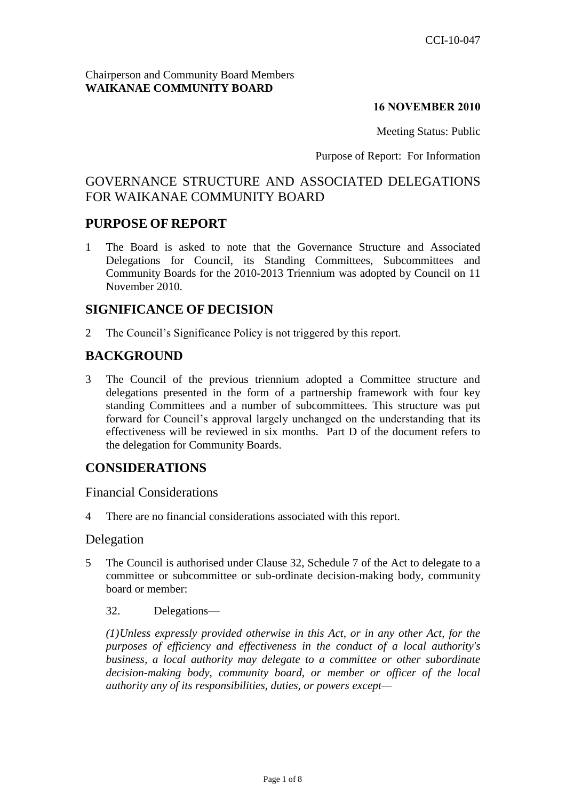#### Chairperson and Community Board Members **WAIKANAE COMMUNITY BOARD**

#### **16 NOVEMBER 2010**

Meeting Status: Public

Purpose of Report: For Information

# GOVERNANCE STRUCTURE AND ASSOCIATED DELEGATIONS FOR WAIKANAE COMMUNITY BOARD

## **PURPOSE OF REPORT**

1 The Board is asked to note that the Governance Structure and Associated Delegations for Council, its Standing Committees, Subcommittees and Community Boards for the 2010-2013 Triennium was adopted by Council on 11 November 2010.

## **SIGNIFICANCE OF DECISION**

2 The Council's Significance Policy is not triggered by this report.

# **BACKGROUND**

3 The Council of the previous triennium adopted a Committee structure and delegations presented in the form of a partnership framework with four key standing Committees and a number of subcommittees. This structure was put forward for Council's approval largely unchanged on the understanding that its effectiveness will be reviewed in six months. Part D of the document refers to the delegation for Community Boards.

# **CONSIDERATIONS**

## Financial Considerations

4 There are no financial considerations associated with this report.

#### Delegation

- 5 The Council is authorised under Clause 32, Schedule 7 of the Act to delegate to a committee or subcommittee or sub-ordinate decision-making body, community board or member:
	- 32. Delegations—

*(1)Unless expressly provided otherwise in this Act, or in any other Act, for the purposes of efficiency and effectiveness in the conduct of a local authority's business, a local authority may delegate to a committee or other subordinate decision-making body, community board, or member or officer of the local authority any of its responsibilities, duties, or powers except—*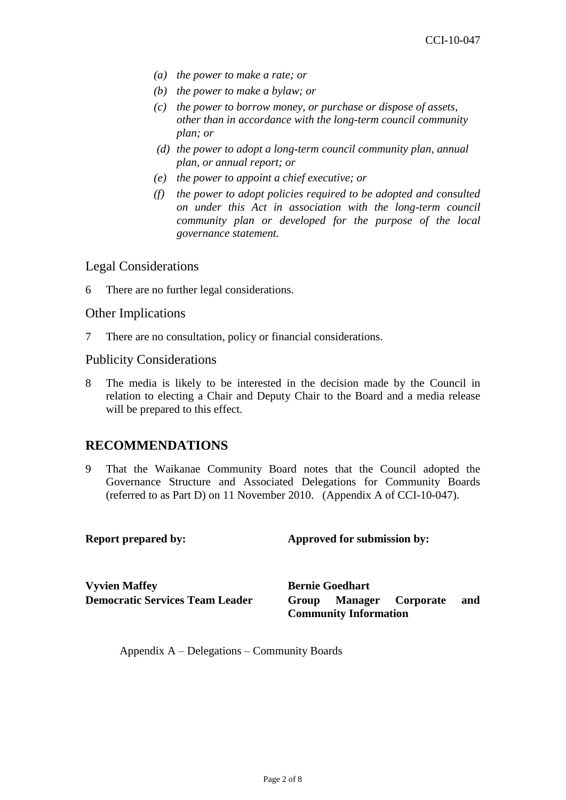- *(a) the power to make a rate; or*
- *(b) the power to make a bylaw; or*
- *(c) the power to borrow money, or purchase or dispose of assets, other than in accordance with the long-term council community plan; or*
- *(d) the power to adopt a long-term council community plan, annual plan, or annual report; or*
- *(e) the power to appoint a chief executive; or*
- *(f) the power to adopt policies required to be adopted and consulted on under this Act in association with the long-term council community plan or developed for the purpose of the local governance statement.*

#### Legal Considerations

6 There are no further legal considerations.

#### Other Implications

7 There are no consultation, policy or financial considerations.

#### Publicity Considerations

8 The media is likely to be interested in the decision made by the Council in relation to electing a Chair and Deputy Chair to the Board and a media release will be prepared to this effect.

## **RECOMMENDATIONS**

9 That the Waikanae Community Board notes that the Council adopted the Governance Structure and Associated Delegations for Community Boards (referred to as Part D) on 11 November 2010. (Appendix A of CCI-10-047).

| <b>Report prepared by:</b> | Approved for submission by: |
|----------------------------|-----------------------------|
|                            |                             |
|                            |                             |

**Vyvien Maffey Bernie Goedhart** 

**Democratic Services Team Leader Group Manager Corporate and Community Information**

Appendix A – Delegations – Community Boards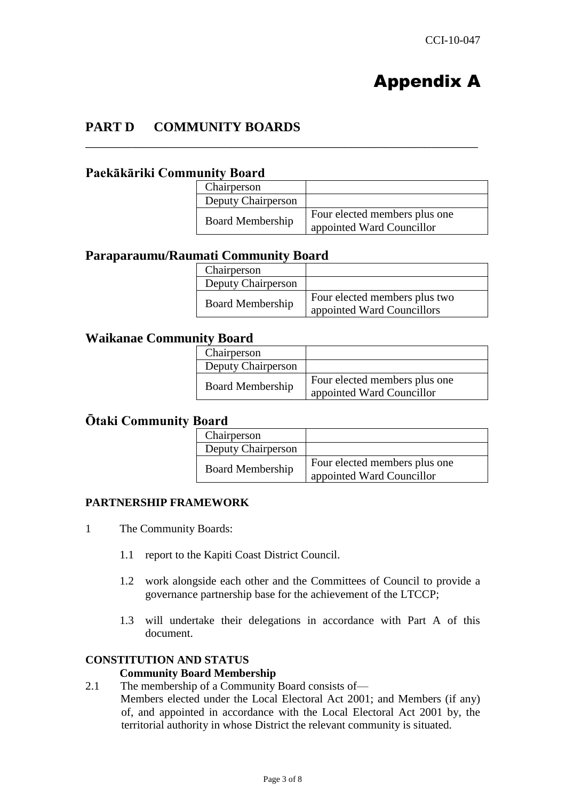# Appendix A

# **PART D COMMUNITY BOARDS**

### **Paekākāriki Community Board**

| Chairperson             |                                                            |
|-------------------------|------------------------------------------------------------|
| Deputy Chairperson      |                                                            |
| <b>Board Membership</b> | Four elected members plus one<br>appointed Ward Councillor |

\_\_\_\_\_\_\_\_\_\_\_\_\_\_\_\_\_\_\_\_\_\_\_\_\_\_\_\_\_\_\_\_\_\_\_\_\_\_\_\_\_\_\_\_\_\_\_\_\_\_\_\_\_\_\_\_\_\_\_

# **Paraparaumu/Raumati Community Board**

| Chairperson             |                                                             |
|-------------------------|-------------------------------------------------------------|
| Deputy Chairperson      |                                                             |
| <b>Board Membership</b> | Four elected members plus two<br>appointed Ward Councillors |

## **Waikanae Community Board**

| Chairperson             |                                                            |
|-------------------------|------------------------------------------------------------|
| Deputy Chairperson      |                                                            |
| <b>Board Membership</b> | Four elected members plus one<br>appointed Ward Councillor |

#### **Ōtaki Community Board**

| Chairperson             |                                                            |
|-------------------------|------------------------------------------------------------|
| Deputy Chairperson      |                                                            |
| <b>Board Membership</b> | Four elected members plus one<br>appointed Ward Councillor |

#### **PARTNERSHIP FRAMEWORK**

- 1 The Community Boards:
	- 1.1 report to the Kapiti Coast District Council.
	- 1.2 work alongside each other and the Committees of Council to provide a governance partnership base for the achievement of the LTCCP;
	- 1.3 will undertake their delegations in accordance with Part A of this document.

#### **CONSTITUTION AND STATUS**

#### **Community Board Membership**

2.1 The membership of a Community Board consists of— Members elected under the Local Electoral Act 2001; and Members (if any) of, and appointed in accordance with the Local Electoral Act 2001 by, the territorial authority in whose District the relevant community is situated.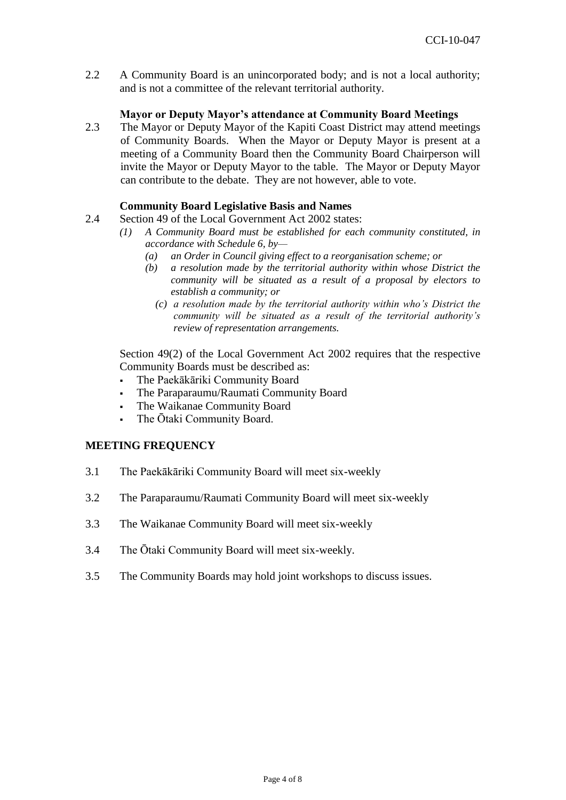2.2 A Community Board is an unincorporated body; and is not a local authority; and is not a committee of the relevant territorial authority.

#### **Mayor or Deputy Mayor's attendance at Community Board Meetings**

2.3 The Mayor or Deputy Mayor of the Kapiti Coast District may attend meetings of Community Boards. When the Mayor or Deputy Mayor is present at a meeting of a Community Board then the Community Board Chairperson will invite the Mayor or Deputy Mayor to the table. The Mayor or Deputy Mayor can contribute to the debate. They are not however, able to vote.

#### **Community Board Legislative Basis and Names**

- 2.4 Section 49 of the Local Government Act 2002 states:
	- *(1) A Community Board must be established for each community constituted, in accordance with Schedule 6, by—*
		- *(a) an Order in Council giving effect to a reorganisation scheme; or*
		- *(b) a resolution made by the territorial authority within whose District the community will be situated as a result of a proposal by electors to establish a community; or*
			- *(c) a resolution made by the territorial authority within who's District the community will be situated as a result of the territorial authority's review of representation arrangements.*

Section 49(2) of the Local Government Act 2002 requires that the respective Community Boards must be described as:

- The Paekākāriki Community Board
- The Paraparaumu/Raumati Community Board
- The Waikanae Community Board
- The Ōtaki Community Board.

#### **MEETING FREQUENCY**

- 3.1 The Paekākāriki Community Board will meet six-weekly
- 3.2 The Paraparaumu/Raumati Community Board will meet six-weekly
- 3.3 The Waikanae Community Board will meet six-weekly
- 3.4 The Ōtaki Community Board will meet six-weekly.
- 3.5 The Community Boards may hold joint workshops to discuss issues.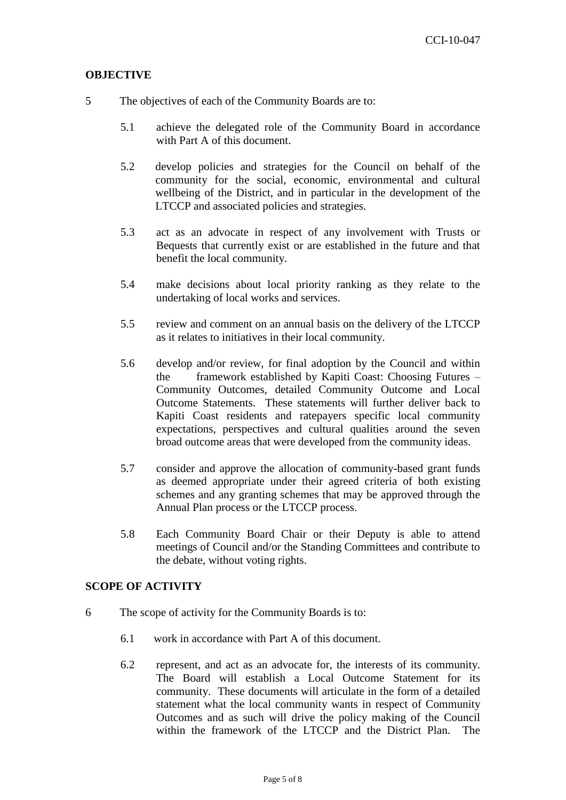#### **OBJECTIVE**

- 5 The objectives of each of the Community Boards are to:
	- 5.1 achieve the delegated role of the Community Board in accordance with Part A of this document.
	- 5.2 develop policies and strategies for the Council on behalf of the community for the social, economic, environmental and cultural wellbeing of the District, and in particular in the development of the LTCCP and associated policies and strategies.
	- 5.3 act as an advocate in respect of any involvement with Trusts or Bequests that currently exist or are established in the future and that benefit the local community.
	- 5.4 make decisions about local priority ranking as they relate to the undertaking of local works and services.
	- 5.5 review and comment on an annual basis on the delivery of the LTCCP as it relates to initiatives in their local community.
	- 5.6 develop and/or review, for final adoption by the Council and within the framework established by Kapiti Coast: Choosing Futures – Community Outcomes, detailed Community Outcome and Local Outcome Statements. These statements will further deliver back to Kapiti Coast residents and ratepayers specific local community expectations, perspectives and cultural qualities around the seven broad outcome areas that were developed from the community ideas.
	- 5.7 consider and approve the allocation of community-based grant funds as deemed appropriate under their agreed criteria of both existing schemes and any granting schemes that may be approved through the Annual Plan process or the LTCCP process.
	- 5.8 Each Community Board Chair or their Deputy is able to attend meetings of Council and/or the Standing Committees and contribute to the debate, without voting rights.

#### **SCOPE OF ACTIVITY**

- 6 The scope of activity for the Community Boards is to:
	- 6.1 work in accordance with Part A of this document.
	- 6.2 represent, and act as an advocate for, the interests of its community. The Board will establish a Local Outcome Statement for its community. These documents will articulate in the form of a detailed statement what the local community wants in respect of Community Outcomes and as such will drive the policy making of the Council within the framework of the LTCCP and the District Plan. The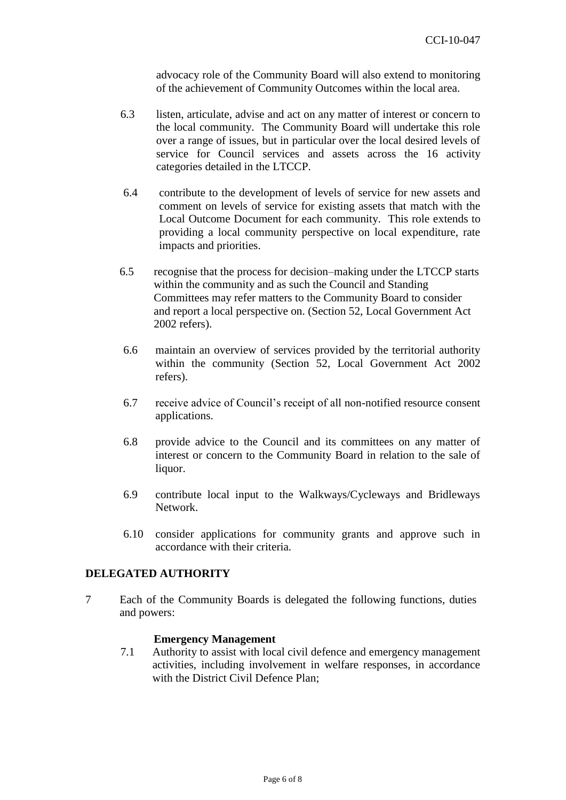advocacy role of the Community Board will also extend to monitoring of the achievement of Community Outcomes within the local area.

- 6.3 listen, articulate, advise and act on any matter of interest or concern to the local community. The Community Board will undertake this role over a range of issues, but in particular over the local desired levels of service for Council services and assets across the 16 activity categories detailed in the LTCCP.
- 6.4 contribute to the development of levels of service for new assets and comment on levels of service for existing assets that match with the Local Outcome Document for each community. This role extends to providing a local community perspective on local expenditure, rate impacts and priorities.
- 6.5 recognise that the process for decision–making under the LTCCP starts within the community and as such the Council and Standing Committees may refer matters to the Community Board to consider and report a local perspective on. (Section 52, Local Government Act 2002 refers).
- 6.6 maintain an overview of services provided by the territorial authority within the community (Section 52, Local Government Act 2002 refers).
- 6.7 receive advice of Council's receipt of all non-notified resource consent applications.
- 6.8 provide advice to the Council and its committees on any matter of interest or concern to the Community Board in relation to the sale of liquor.
- 6.9 contribute local input to the Walkways/Cycleways and Bridleways Network.
- 6.10 consider applications for community grants and approve such in accordance with their criteria.

#### **DELEGATED AUTHORITY**

7 Each of the Community Boards is delegated the following functions, duties and powers:

#### **Emergency Management**

7.1 Authority to assist with local civil defence and emergency management activities, including involvement in welfare responses, in accordance with the District Civil Defence Plan;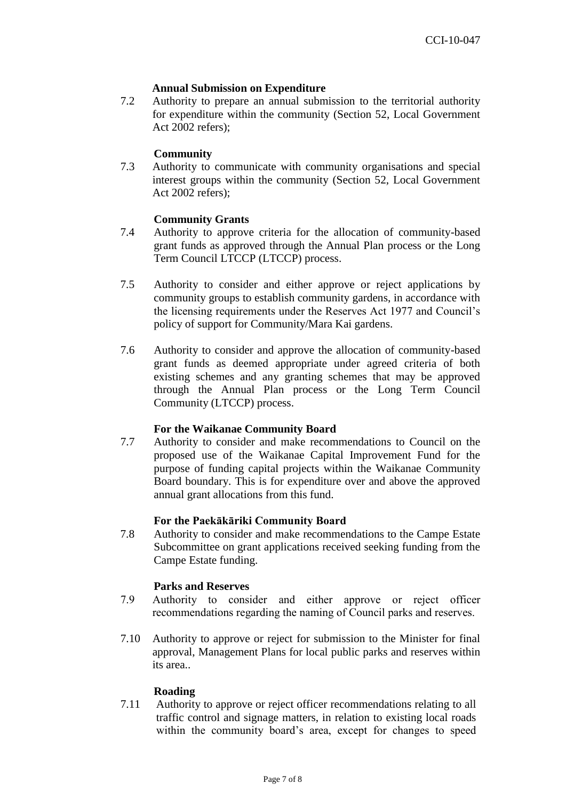#### **Annual Submission on Expenditure**

7.2 Authority to prepare an annual submission to the territorial authority for expenditure within the community (Section 52, Local Government Act 2002 refers);

#### **Community**

7.3 Authority to communicate with community organisations and special interest groups within the community (Section 52, Local Government Act 2002 refers);

#### **Community Grants**

- 7.4 Authority to approve criteria for the allocation of community-based grant funds as approved through the Annual Plan process or the Long Term Council LTCCP (LTCCP) process.
- 7.5 Authority to consider and either approve or reject applications by community groups to establish community gardens, in accordance with the licensing requirements under the Reserves Act 1977 and Council's policy of support for Community/Mara Kai gardens.
- 7.6 Authority to consider and approve the allocation of community-based grant funds as deemed appropriate under agreed criteria of both existing schemes and any granting schemes that may be approved through the Annual Plan process or the Long Term Council Community (LTCCP) process.

#### **For the Waikanae Community Board**

7.7 Authority to consider and make recommendations to Council on the proposed use of the Waikanae Capital Improvement Fund for the purpose of funding capital projects within the Waikanae Community Board boundary. This is for expenditure over and above the approved annual grant allocations from this fund.

#### **For the Paekākāriki Community Board**

7.8 Authority to consider and make recommendations to the Campe Estate Subcommittee on grant applications received seeking funding from the Campe Estate funding.

#### **Parks and Reserves**

- 7.9 Authority to consider and either approve or reject officer recommendations regarding the naming of Council parks and reserves.
- 7.10 Authority to approve or reject for submission to the Minister for final approval, Management Plans for local public parks and reserves within its area..

#### **Roading**

7.11 Authority to approve or reject officer recommendations relating to all traffic control and signage matters, in relation to existing local roads within the community board's area, except for changes to speed